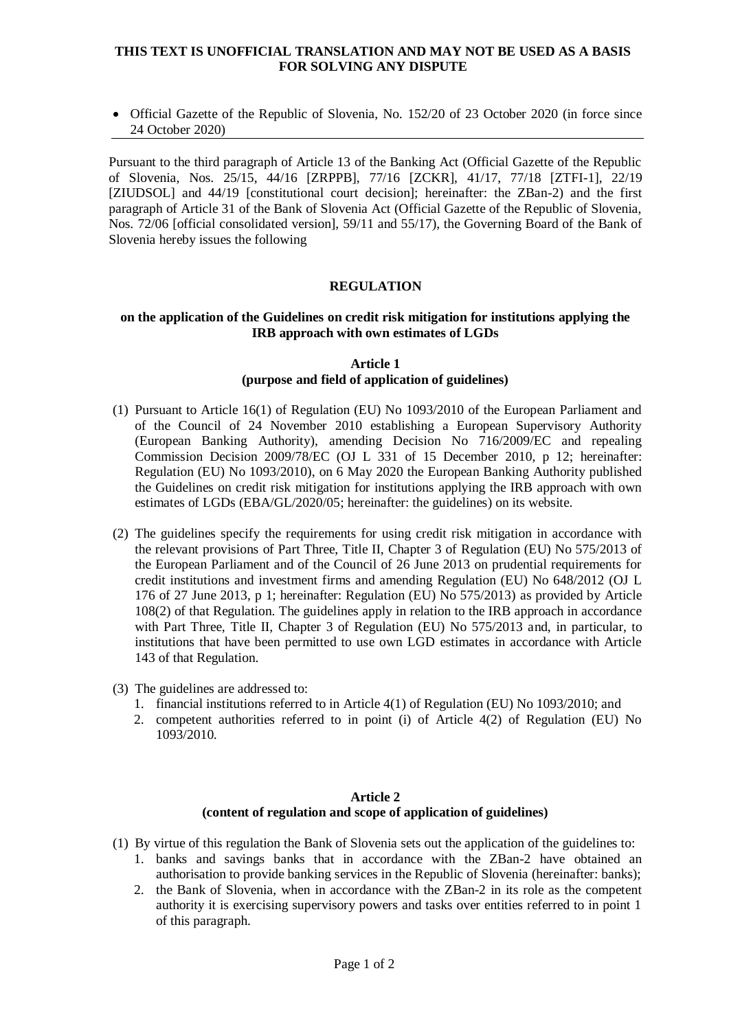## **THIS TEXT IS UNOFFICIAL TRANSLATION AND MAY NOT BE USED AS A BASIS FOR SOLVING ANY DISPUTE**

 Official Gazette of the Republic of Slovenia, No. 152/20 of 23 October 2020 (in force since 24 October 2020)

Pursuant to the third paragraph of Article 13 of the Banking Act (Official Gazette of the Republic of Slovenia, Nos. 25/15, 44/16 [ZRPPB], 77/16 [ZCKR], 41/17, 77/18 [ZTFI-1], 22/19 [ZIUDSOL] and 44/19 [constitutional court decision]; hereinafter: the ZBan-2) and the first paragraph of Article 31 of the Bank of Slovenia Act (Official Gazette of the Republic of Slovenia, Nos. 72/06 [official consolidated version], 59/11 and 55/17), the Governing Board of the Bank of Slovenia hereby issues the following

## **REGULATION**

### **on the application of the Guidelines on credit risk mitigation for institutions applying the IRB approach with own estimates of LGDs**

### **Article 1 (purpose and field of application of guidelines)**

- (1) Pursuant to Article 16(1) of Regulation (EU) No 1093/2010 of the European Parliament and of the Council of 24 November 2010 establishing a European Supervisory Authority (European Banking Authority), amending Decision No 716/2009/EC and repealing Commission Decision 2009/78/EC (OJ L 331 of 15 December 2010, p 12; hereinafter: Regulation (EU) No 1093/2010), on 6 May 2020 the European Banking Authority published the Guidelines on credit risk mitigation for institutions applying the IRB approach with own estimates of LGDs (EBA/GL/2020/05; hereinafter: the guidelines) on its website.
- (2) The guidelines specify the requirements for using credit risk mitigation in accordance with the relevant provisions of Part Three, Title II, Chapter 3 of Regulation (EU) No 575/2013 of the European Parliament and of the Council of 26 June 2013 on prudential requirements for credit institutions and investment firms and amending Regulation (EU) No 648/2012 (OJ L 176 of 27 June 2013, p 1; hereinafter: Regulation (EU) No 575/2013) as provided by Article 108(2) of that Regulation. The guidelines apply in relation to the IRB approach in accordance with Part Three, Title II, Chapter 3 of Regulation (EU) No 575/2013 and, in particular, to institutions that have been permitted to use own LGD estimates in accordance with Article 143 of that Regulation.
- (3) The guidelines are addressed to:
	- 1. financial institutions referred to in Article 4(1) of Regulation (EU) No 1093/2010; and
	- 2. competent authorities referred to in point (i) of Article 4(2) of Regulation (EU) No 1093/2010.

#### **Article 2 (content of regulation and scope of application of guidelines)**

- (1) By virtue of this regulation the Bank of Slovenia sets out the application of the guidelines to:
	- 1. banks and savings banks that in accordance with the ZBan-2 have obtained an authorisation to provide banking services in the Republic of Slovenia (hereinafter: banks);
	- 2. the Bank of Slovenia, when in accordance with the ZBan-2 in its role as the competent authority it is exercising supervisory powers and tasks over entities referred to in point 1 of this paragraph.